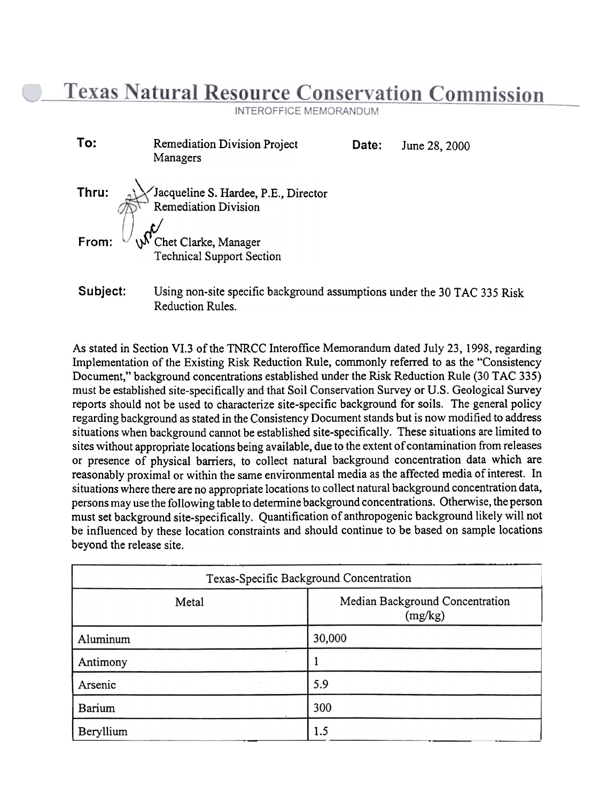**Texas Natural Resource Conservation Commission** 

**INTEROFFICE MEMORANDUM** 

| To:      | <b>Remediation Division Project</b><br>Managers                                                     | Date: | June 28, 2000 |
|----------|-----------------------------------------------------------------------------------------------------|-------|---------------|
| Thru:    | Jacqueline S. Hardee, P.E., Director<br><b>Remediation Division</b>                                 |       |               |
| From:    | W Chet Clarke, Manager<br><b>Technical Support Section</b>                                          |       |               |
| Subject: | Using non-site specific background assumptions under the 30 TAC 335 Risl<br><b>Reduction Rules.</b> |       |               |

As stated in Section VI.3 of the TNRCC Interoffice Memorandum dated July 23, 1998, regarding Implementation of the Existing Risk Reduction Rule, commonly referred to as the "Consistency Document," background concentrations established under the Risk Reduction Rule (30 TAC 335) must be established site-specifically and that Soil Conservation Survey or U.S. Geological Survey reports should not be used to characterize site-specific background for soils. The general policy regarding background as stated in the Consistency Document stands but is now modified to address situations when background cannot be established site-specifically. These situations are limited to sites without appropriate locations being available, due to the extent of contamination from releases or presence of physical barriers, to collect natural background concentration data which are reasonably proximal or within the same environmental media as the affected media of interest. In situations where there are no appropriate locations to collect natural background concentration data, persons may use the following table to determine background concentrations. Otherwise, the person must set background site-specifically. Quantification of anthropogenic background likely will not be influenced by these location constraints and should continue to be based on sample locations beyond the release site.

| Texas-Specific Background Concentration |                                            |  |  |
|-----------------------------------------|--------------------------------------------|--|--|
| Metal                                   | Median Background Concentration<br>(mg/kg) |  |  |
| Aluminum                                | 30,000                                     |  |  |
| Antimony                                |                                            |  |  |
| Arsenic                                 | 5.9                                        |  |  |
| Barium                                  | 300                                        |  |  |
| Beryllium                               | 1.5                                        |  |  |